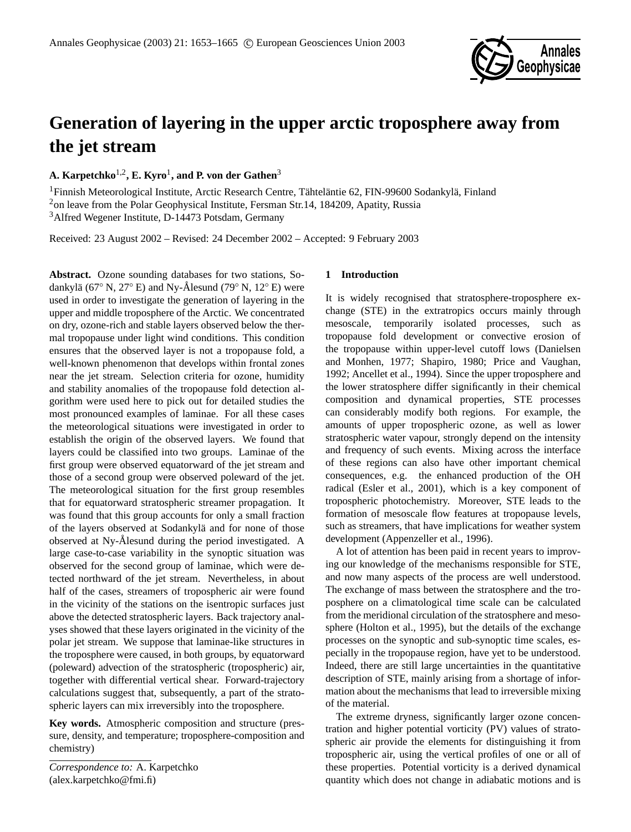

# **Generation of layering in the upper arctic troposphere away from the jet stream**

**A. Karpetchko**1,2**, E. Kyro**<sup>1</sup> **, and P. von der Gathen**<sup>3</sup>

 $1$ Finnish Meteorological Institute, Arctic Research Centre, Tähteläntie 62, FIN-99600 Sodankylä, Finland <sup>2</sup>on leave from the Polar Geophysical Institute, Fersman Str.14, 184209, Apatity, Russia <sup>3</sup>Alfred Wegener Institute, D-14473 Potsdam, Germany

Received: 23 August 2002 – Revised: 24 December 2002 – Accepted: 9 February 2003

**Abstract.** Ozone sounding databases for two stations, Sodankylä (67° N, 27° E) and Ny-Ålesund (79° N, 12° E) were used in order to investigate the generation of layering in the upper and middle troposphere of the Arctic. We concentrated on dry, ozone-rich and stable layers observed below the thermal tropopause under light wind conditions. This condition ensures that the observed layer is not a tropopause fold, a well-known phenomenon that develops within frontal zones near the jet stream. Selection criteria for ozone, humidity and stability anomalies of the tropopause fold detection algorithm were used here to pick out for detailed studies the most pronounced examples of laminae. For all these cases the meteorological situations were investigated in order to establish the origin of the observed layers. We found that layers could be classified into two groups. Laminae of the first group were observed equatorward of the jet stream and those of a second group were observed poleward of the jet. The meteorological situation for the first group resembles that for equatorward stratospheric streamer propagation. It was found that this group accounts for only a small fraction of the layers observed at Sodankyla and for none of those ¨ observed at Ny-Ålesund during the period investigated. A large case-to-case variability in the synoptic situation was observed for the second group of laminae, which were detected northward of the jet stream. Nevertheless, in about half of the cases, streamers of tropospheric air were found in the vicinity of the stations on the isentropic surfaces just above the detected stratospheric layers. Back trajectory analyses showed that these layers originated in the vicinity of the polar jet stream. We suppose that laminae-like structures in the troposphere were caused, in both groups, by equatorward (poleward) advection of the stratospheric (tropospheric) air, together with differential vertical shear. Forward-trajectory calculations suggest that, subsequently, a part of the stratospheric layers can mix irreversibly into the troposphere.

**Key words.** Atmospheric composition and structure (pressure, density, and temperature; troposphere-composition and chemistry)

*Correspondence to:* A. Karpetchko (alex.karpetchko@fmi.fi)

# **1 Introduction**

It is widely recognised that stratosphere-troposphere exchange (STE) in the extratropics occurs mainly through mesoscale, temporarily isolated processes, such as tropopause fold development or convective erosion of the tropopause within upper-level cutoff lows (Danielsen and Monhen, 1977; Shapiro, 1980; Price and Vaughan, 1992; Ancellet et al., 1994). Since the upper troposphere and the lower stratosphere differ significantly in their chemical composition and dynamical properties, STE processes can considerably modify both regions. For example, the amounts of upper tropospheric ozone, as well as lower stratospheric water vapour, strongly depend on the intensity and frequency of such events. Mixing across the interface of these regions can also have other important chemical consequences, e.g. the enhanced production of the OH radical (Esler et al., 2001), which is a key component of tropospheric photochemistry. Moreover, STE leads to the formation of mesoscale flow features at tropopause levels, such as streamers, that have implications for weather system development (Appenzeller et al., 1996).

A lot of attention has been paid in recent years to improving our knowledge of the mechanisms responsible for STE, and now many aspects of the process are well understood. The exchange of mass between the stratosphere and the troposphere on a climatological time scale can be calculated from the meridional circulation of the stratosphere and mesosphere (Holton et al., 1995), but the details of the exchange processes on the synoptic and sub-synoptic time scales, especially in the tropopause region, have yet to be understood. Indeed, there are still large uncertainties in the quantitative description of STE, mainly arising from a shortage of information about the mechanisms that lead to irreversible mixing of the material.

The extreme dryness, significantly larger ozone concentration and higher potential vorticity (PV) values of stratospheric air provide the elements for distinguishing it from tropospheric air, using the vertical profiles of one or all of these properties. Potential vorticity is a derived dynamical quantity which does not change in adiabatic motions and is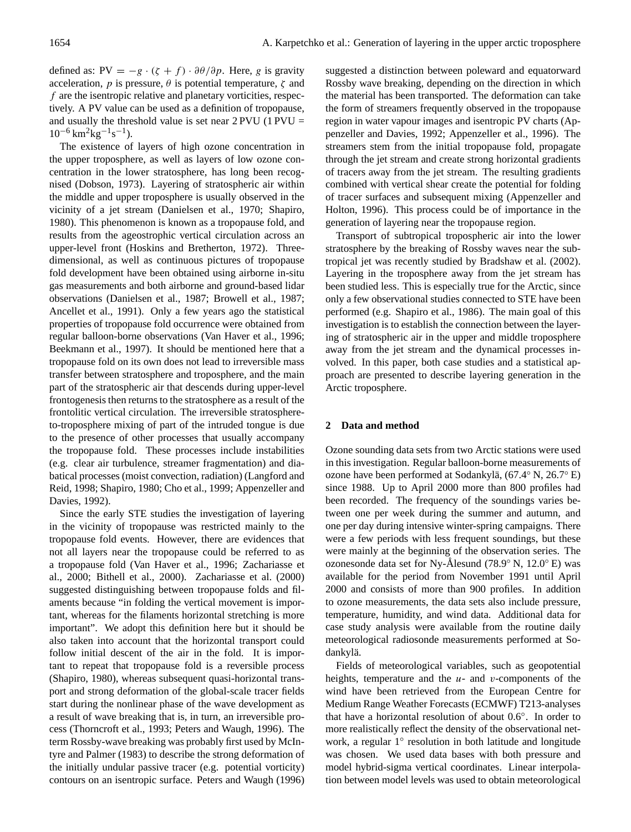defined as:  $PV = -g \cdot (\zeta + f) \cdot \partial \theta / \partial p$ . Here, g is gravity acceleration, p is pressure,  $\theta$  is potential temperature,  $\zeta$  and  $f$  are the isentropic relative and planetary vorticities, respectively. A PV value can be used as a definition of tropopause, and usually the threshold value is set near 2 PVU (1 PVU =  $10^{-6}$  km<sup>2</sup>kg<sup>-1</sup>s<sup>-1</sup>).

The existence of layers of high ozone concentration in the upper troposphere, as well as layers of low ozone concentration in the lower stratosphere, has long been recognised (Dobson, 1973). Layering of stratospheric air within the middle and upper troposphere is usually observed in the vicinity of a jet stream (Danielsen et al., 1970; Shapiro, 1980). This phenomenon is known as a tropopause fold, and results from the ageostrophic vertical circulation across an upper-level front (Hoskins and Bretherton, 1972). Threedimensional, as well as continuous pictures of tropopause fold development have been obtained using airborne in-situ gas measurements and both airborne and ground-based lidar observations (Danielsen et al., 1987; Browell et al., 1987; Ancellet et al., 1991). Only a few years ago the statistical properties of tropopause fold occurrence were obtained from regular balloon-borne observations (Van Haver et al., 1996; Beekmann et al., 1997). It should be mentioned here that a tropopause fold on its own does not lead to irreversible mass transfer between stratosphere and troposphere, and the main part of the stratospheric air that descends during upper-level frontogenesis then returns to the stratosphere as a result of the frontolitic vertical circulation. The irreversible stratosphereto-troposphere mixing of part of the intruded tongue is due to the presence of other processes that usually accompany the tropopause fold. These processes include instabilities (e.g. clear air turbulence, streamer fragmentation) and diabatical processes (moist convection, radiation) (Langford and Reid, 1998; Shapiro, 1980; Cho et al., 1999; Appenzeller and Davies, 1992).

Since the early STE studies the investigation of layering in the vicinity of tropopause was restricted mainly to the tropopause fold events. However, there are evidences that not all layers near the tropopause could be referred to as a tropopause fold (Van Haver et al., 1996; Zachariasse et al., 2000; Bithell et al., 2000). Zachariasse et al. (2000) suggested distinguishing between tropopause folds and filaments because "in folding the vertical movement is important, whereas for the filaments horizontal stretching is more important". We adopt this definition here but it should be also taken into account that the horizontal transport could follow initial descent of the air in the fold. It is important to repeat that tropopause fold is a reversible process (Shapiro, 1980), whereas subsequent quasi-horizontal transport and strong deformation of the global-scale tracer fields start during the nonlinear phase of the wave development as a result of wave breaking that is, in turn, an irreversible process (Thorncroft et al., 1993; Peters and Waugh, 1996). The term Rossby-wave breaking was probably first used by McIntyre and Palmer (1983) to describe the strong deformation of the initially undular passive tracer (e.g. potential vorticity) contours on an isentropic surface. Peters and Waugh (1996)

suggested a distinction between poleward and equatorward Rossby wave breaking, depending on the direction in which the material has been transported. The deformation can take the form of streamers frequently observed in the tropopause region in water vapour images and isentropic PV charts (Appenzeller and Davies, 1992; Appenzeller et al., 1996). The streamers stem from the initial tropopause fold, propagate through the jet stream and create strong horizontal gradients of tracers away from the jet stream. The resulting gradients combined with vertical shear create the potential for folding of tracer surfaces and subsequent mixing (Appenzeller and Holton, 1996). This process could be of importance in the generation of layering near the tropopause region.

Transport of subtropical tropospheric air into the lower stratosphere by the breaking of Rossby waves near the subtropical jet was recently studied by Bradshaw et al. (2002). Layering in the troposphere away from the jet stream has been studied less. This is especially true for the Arctic, since only a few observational studies connected to STE have been performed (e.g. Shapiro et al., 1986). The main goal of this investigation is to establish the connection between the layering of stratospheric air in the upper and middle troposphere away from the jet stream and the dynamical processes involved. In this paper, both case studies and a statistical approach are presented to describe layering generation in the Arctic troposphere.

## **2 Data and method**

Ozone sounding data sets from two Arctic stations were used in this investigation. Regular balloon-borne measurements of ozone have been performed at Sodankylä, (67.4° N, 26.7° E) since 1988. Up to April 2000 more than 800 profiles had been recorded. The frequency of the soundings varies between one per week during the summer and autumn, and one per day during intensive winter-spring campaigns. There were a few periods with less frequent soundings, but these were mainly at the beginning of the observation series. The ozonesonde data set for Ny-Ålesund (78.9° N, 12.0° E) was available for the period from November 1991 until April 2000 and consists of more than 900 profiles. In addition to ozone measurements, the data sets also include pressure, temperature, humidity, and wind data. Additional data for case study analysis were available from the routine daily meteorological radiosonde measurements performed at Sodankylä.

Fields of meteorological variables, such as geopotential heights, temperature and the  $u$ - and  $v$ -components of the wind have been retrieved from the European Centre for Medium Range Weather Forecasts (ECMWF) T213-analyses that have a horizontal resolution of about 0.6◦ . In order to more realistically reflect the density of the observational network, a regular 1° resolution in both latitude and longitude was chosen. We used data bases with both pressure and model hybrid-sigma vertical coordinates. Linear interpolation between model levels was used to obtain meteorological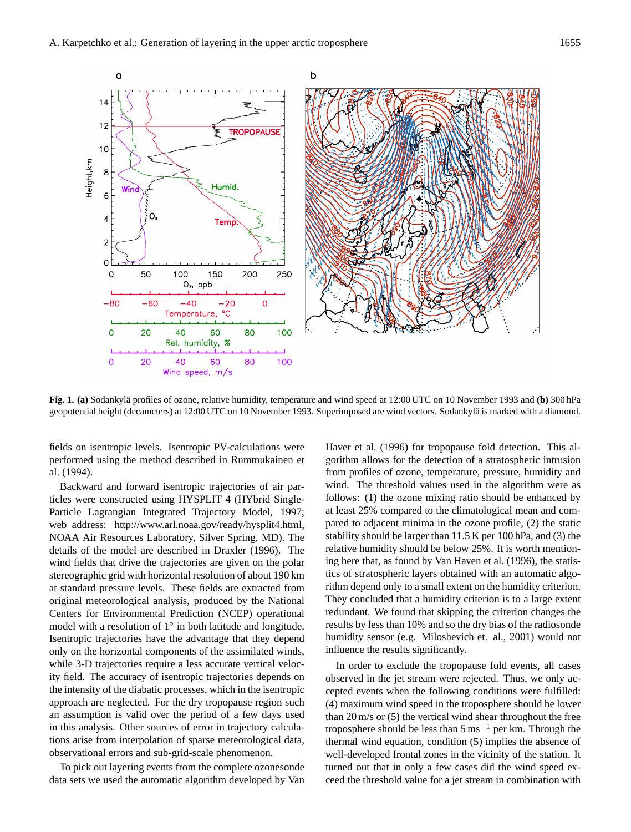

**Fig. 1. (a)** Sodankylä profiles of ozone, relative humidity, temperature and wind speed at 12:00 UTC on 10 November 1993 and **(b)** 300 hPa geopotential height (decameters) at 12:00 UTC on 10 November 1993. Superimposed are wind vectors. Sodankylä is marked with a diamond.

fields on isentropic levels. Isentropic PV-calculations were performed using the method described in Rummukainen et al. (1994).

Backward and forward isentropic trajectories of air particles were constructed using HYSPLIT 4 (HYbrid Single-Particle Lagrangian Integrated Trajectory Model, 1997; web address: http://www.arl.noaa.gov/ready/hysplit4.html, NOAA Air Resources Laboratory, Silver Spring, MD). The details of the model are described in Draxler (1996). The wind fields that drive the trajectories are given on the polar stereographic grid with horizontal resolution of about 190 km at standard pressure levels. These fields are extracted from original meteorological analysis, produced by the National Centers for Environmental Prediction (NCEP) operational model with a resolution of 1° in both latitude and longitude. Isentropic trajectories have the advantage that they depend only on the horizontal components of the assimilated winds, while 3-D trajectories require a less accurate vertical velocity field. The accuracy of isentropic trajectories depends on the intensity of the diabatic processes, which in the isentropic approach are neglected. For the dry tropopause region such an assumption is valid over the period of a few days used in this analysis. Other sources of error in trajectory calculations arise from interpolation of sparse meteorological data, observational errors and sub-grid-scale phenomenon.

To pick out layering events from the complete ozonesonde data sets we used the automatic algorithm developed by Van Haver et al. (1996) for tropopause fold detection. This algorithm allows for the detection of a stratospheric intrusion from profiles of ozone, temperature, pressure, humidity and wind. The threshold values used in the algorithm were as follows: (1) the ozone mixing ratio should be enhanced by at least 25% compared to the climatological mean and compared to adjacent minima in the ozone profile, (2) the static stability should be larger than 11.5 K per 100 hPa, and (3) the relative humidity should be below 25%. It is worth mentioning here that, as found by Van Haven et al. (1996), the statistics of stratospheric layers obtained with an automatic algorithm depend only to a small extent on the humidity criterion. They concluded that a humidity criterion is to a large extent redundant. We found that skipping the criterion changes the results by less than 10% and so the dry bias of the radiosonde humidity sensor (e.g. Miloshevich et. al., 2001) would not influence the results significantly.

In order to exclude the tropopause fold events, all cases observed in the jet stream were rejected. Thus, we only accepted events when the following conditions were fulfilled: (4) maximum wind speed in the troposphere should be lower than 20 m/s or (5) the vertical wind shear throughout the free troposphere should be less than  $5 \text{ ms}^{-1}$  per km. Through the thermal wind equation, condition (5) implies the absence of well-developed frontal zones in the vicinity of the station. It turned out that in only a few cases did the wind speed exceed the threshold value for a jet stream in combination with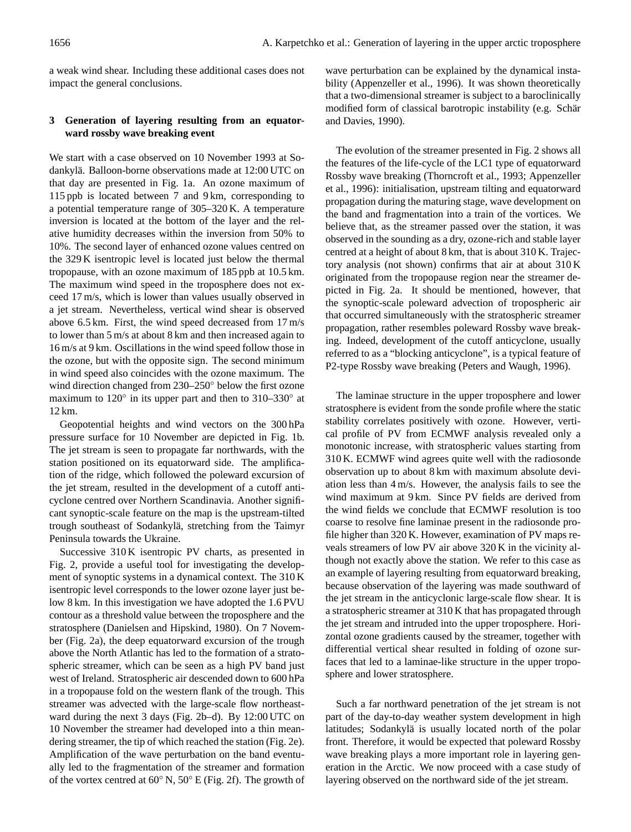a weak wind shear. Including these additional cases does not impact the general conclusions.

# **3 Generation of layering resulting from an equatorward rossby wave breaking event**

We start with a case observed on 10 November 1993 at Sodankylä. Balloon-borne observations made at 12:00 UTC on that day are presented in Fig. 1a. An ozone maximum of 115 ppb is located between 7 and 9 km, corresponding to a potential temperature range of 305–320 K. A temperature inversion is located at the bottom of the layer and the relative humidity decreases within the inversion from 50% to 10%. The second layer of enhanced ozone values centred on the 329 K isentropic level is located just below the thermal tropopause, with an ozone maximum of 185 ppb at 10.5 km. The maximum wind speed in the troposphere does not exceed 17 m/s, which is lower than values usually observed in a jet stream. Nevertheless, vertical wind shear is observed above 6.5 km. First, the wind speed decreased from 17 m/s to lower than 5 m/s at about 8 km and then increased again to 16 m/s at 9 km. Oscillations in the wind speed follow those in the ozone, but with the opposite sign. The second minimum in wind speed also coincides with the ozone maximum. The wind direction changed from 230–250◦ below the first ozone maximum to 120° in its upper part and then to 310–330° at 12 km.

Geopotential heights and wind vectors on the 300 hPa pressure surface for 10 November are depicted in Fig. 1b. The jet stream is seen to propagate far northwards, with the station positioned on its equatorward side. The amplification of the ridge, which followed the poleward excursion of the jet stream, resulted in the development of a cutoff anticyclone centred over Northern Scandinavia. Another significant synoptic-scale feature on the map is the upstream-tilted trough southeast of Sodankyla, stretching from the Taimyr ¨ Peninsula towards the Ukraine.

Successive 310 K isentropic PV charts, as presented in Fig. 2, provide a useful tool for investigating the development of synoptic systems in a dynamical context. The 310 K isentropic level corresponds to the lower ozone layer just below 8 km. In this investigation we have adopted the 1.6 PVU contour as a threshold value between the troposphere and the stratosphere (Danielsen and Hipskind, 1980). On 7 November (Fig. 2a), the deep equatorward excursion of the trough above the North Atlantic has led to the formation of a stratospheric streamer, which can be seen as a high PV band just west of Ireland. Stratospheric air descended down to 600 hPa in a tropopause fold on the western flank of the trough. This streamer was advected with the large-scale flow northeastward during the next 3 days (Fig. 2b–d). By 12:00 UTC on 10 November the streamer had developed into a thin meandering streamer, the tip of which reached the station (Fig. 2e). Amplification of the wave perturbation on the band eventually led to the fragmentation of the streamer and formation of the vortex centred at  $60°$  N,  $50°$  E (Fig. 2f). The growth of

wave perturbation can be explained by the dynamical instability (Appenzeller et al., 1996). It was shown theoretically that a two-dimensional streamer is subject to a baroclinically modified form of classical barotropic instability (e.g. Schär and Davies, 1990).

The evolution of the streamer presented in Fig. 2 shows all the features of the life-cycle of the LC1 type of equatorward Rossby wave breaking (Thorncroft et al., 1993; Appenzeller et al., 1996): initialisation, upstream tilting and equatorward propagation during the maturing stage, wave development on the band and fragmentation into a train of the vortices. We believe that, as the streamer passed over the station, it was observed in the sounding as a dry, ozone-rich and stable layer centred at a height of about 8 km, that is about 310 K. Trajectory analysis (not shown) confirms that air at about 310 K originated from the tropopause region near the streamer depicted in Fig. 2a. It should be mentioned, however, that the synoptic-scale poleward advection of tropospheric air that occurred simultaneously with the stratospheric streamer propagation, rather resembles poleward Rossby wave breaking. Indeed, development of the cutoff anticyclone, usually referred to as a "blocking anticyclone", is a typical feature of P2-type Rossby wave breaking (Peters and Waugh, 1996).

The laminae structure in the upper troposphere and lower stratosphere is evident from the sonde profile where the static stability correlates positively with ozone. However, vertical profile of PV from ECMWF analysis revealed only a monotonic increase, with stratospheric values starting from 310 K. ECMWF wind agrees quite well with the radiosonde observation up to about 8 km with maximum absolute deviation less than 4 m/s. However, the analysis fails to see the wind maximum at 9 km. Since PV fields are derived from the wind fields we conclude that ECMWF resolution is too coarse to resolve fine laminae present in the radiosonde profile higher than 320 K. However, examination of PV maps reveals streamers of low PV air above 320 K in the vicinity although not exactly above the station. We refer to this case as an example of layering resulting from equatorward breaking, because observation of the layering was made southward of the jet stream in the anticyclonic large-scale flow shear. It is a stratospheric streamer at 310 K that has propagated through the jet stream and intruded into the upper troposphere. Horizontal ozone gradients caused by the streamer, together with differential vertical shear resulted in folding of ozone surfaces that led to a laminae-like structure in the upper troposphere and lower stratosphere.

Such a far northward penetration of the jet stream is not part of the day-to-day weather system development in high latitudes; Sodankylä is usually located north of the polar front. Therefore, it would be expected that poleward Rossby wave breaking plays a more important role in layering generation in the Arctic. We now proceed with a case study of layering observed on the northward side of the jet stream.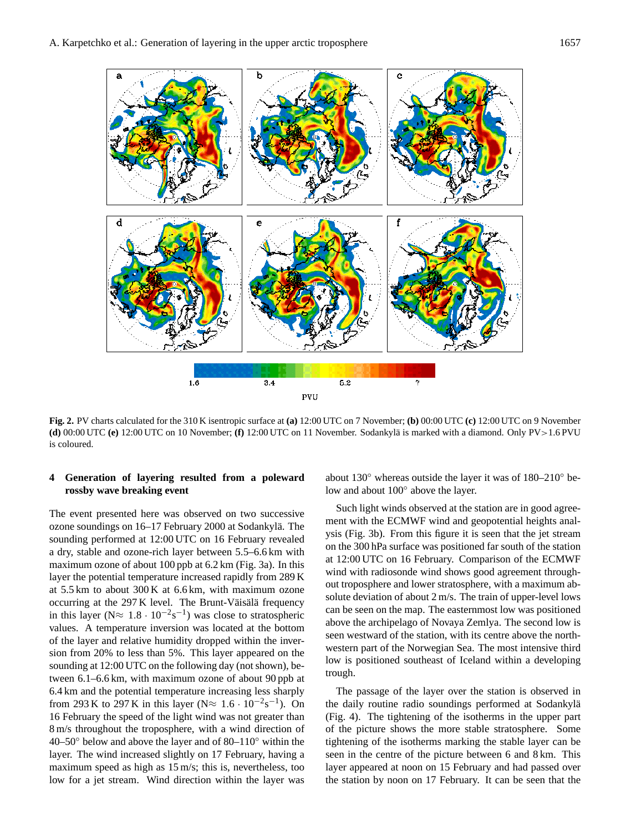

**Fig. 2.** PV charts calculated for the 310 K isentropic surface at **(a)** 12:00 UTC on 7 November; **(b)** 00:00 UTC **(c)** 12:00 UTC on 9 November **(d)** 00:00 UTC **(e)** 12:00 UTC on 10 November; **(f)** 12:00 UTC on 11 November. Sodankylä is marked with a diamond. Only PV > 1.6 PVU is coloured.

# **4 Generation of layering resulted from a poleward rossby wave breaking event**

The event presented here was observed on two successive ozone soundings on 16–17 February 2000 at Sodankylä. The sounding performed at 12:00 UTC on 16 February revealed a dry, stable and ozone-rich layer between 5.5–6.6 km with maximum ozone of about 100 ppb at 6.2 km (Fig. 3a). In this layer the potential temperature increased rapidly from 289 K at 5.5 km to about 300 K at 6.6 km, with maximum ozone occurring at the  $297$  K level. The Brunt-Väisälä frequency in this layer ( $N \approx 1.8 \cdot 10^{-2} s^{-1}$ ) was close to stratospheric values. A temperature inversion was located at the bottom of the layer and relative humidity dropped within the inversion from 20% to less than 5%. This layer appeared on the sounding at 12:00 UTC on the following day (not shown), between 6.1–6.6 km, with maximum ozone of about 90 ppb at 6.4 km and the potential temperature increasing less sharply from 293 K to 297 K in this layer ( $N \approx 1.6 \cdot 10^{-2} s^{-1}$ ). On 16 February the speed of the light wind was not greater than 8 m/s throughout the troposphere, with a wind direction of 40–50◦ below and above the layer and of 80–110◦ within the layer. The wind increased slightly on 17 February, having a maximum speed as high as 15 m/s; this is, nevertheless, too low for a jet stream. Wind direction within the layer was

about 130◦ whereas outside the layer it was of 180–210◦ below and about 100◦ above the layer.

Such light winds observed at the station are in good agreement with the ECMWF wind and geopotential heights analysis (Fig. 3b). From this figure it is seen that the jet stream on the 300 hPa surface was positioned far south of the station at 12:00 UTC on 16 February. Comparison of the ECMWF wind with radiosonde wind shows good agreement throughout troposphere and lower stratosphere, with a maximum absolute deviation of about 2 m/s. The train of upper-level lows can be seen on the map. The easternmost low was positioned above the archipelago of Novaya Zemlya. The second low is seen westward of the station, with its centre above the northwestern part of the Norwegian Sea. The most intensive third low is positioned southeast of Iceland within a developing trough.

The passage of the layer over the station is observed in the daily routine radio soundings performed at Sodankyla¨ (Fig. 4). The tightening of the isotherms in the upper part of the picture shows the more stable stratosphere. Some tightening of the isotherms marking the stable layer can be seen in the centre of the picture between 6 and 8 km. This layer appeared at noon on 15 February and had passed over the station by noon on 17 February. It can be seen that the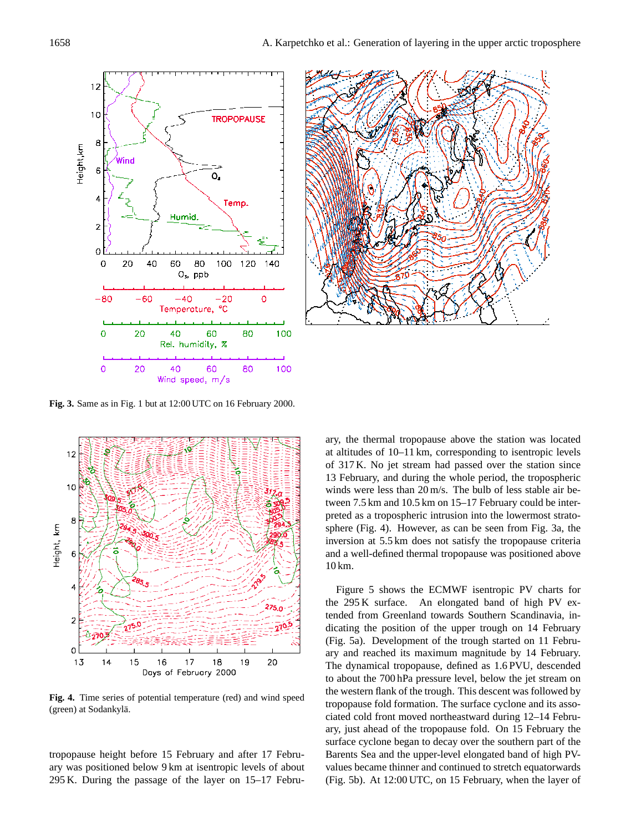



**Fig. 3.** Same as in Fig. 1 but at 12:00 UTC on 16 February 2000.



**Fig. 4.** Time series of potential temperature (red) and wind speed (green) at Sodankylä.

tropopause height before 15 February and after 17 February was positioned below 9 km at isentropic levels of about 295 K. During the passage of the layer on 15–17 February, the thermal tropopause above the station was located at altitudes of 10–11 km, corresponding to isentropic levels of 317 K. No jet stream had passed over the station since 13 February, and during the whole period, the tropospheric winds were less than 20 m/s. The bulb of less stable air between 7.5 km and 10.5 km on 15–17 February could be interpreted as a tropospheric intrusion into the lowermost stratosphere (Fig. 4). However, as can be seen from Fig. 3a, the inversion at 5.5 km does not satisfy the tropopause criteria and a well-defined thermal tropopause was positioned above 10 km.

Figure 5 shows the ECMWF isentropic PV charts for the 295 K surface. An elongated band of high PV extended from Greenland towards Southern Scandinavia, indicating the position of the upper trough on 14 February (Fig. 5a). Development of the trough started on 11 February and reached its maximum magnitude by 14 February. The dynamical tropopause, defined as 1.6 PVU, descended to about the 700 hPa pressure level, below the jet stream on the western flank of the trough. This descent was followed by tropopause fold formation. The surface cyclone and its associated cold front moved northeastward during 12–14 February, just ahead of the tropopause fold. On 15 February the surface cyclone began to decay over the southern part of the Barents Sea and the upper-level elongated band of high PVvalues became thinner and continued to stretch equatorwards (Fig. 5b). At 12:00 UTC, on 15 February, when the layer of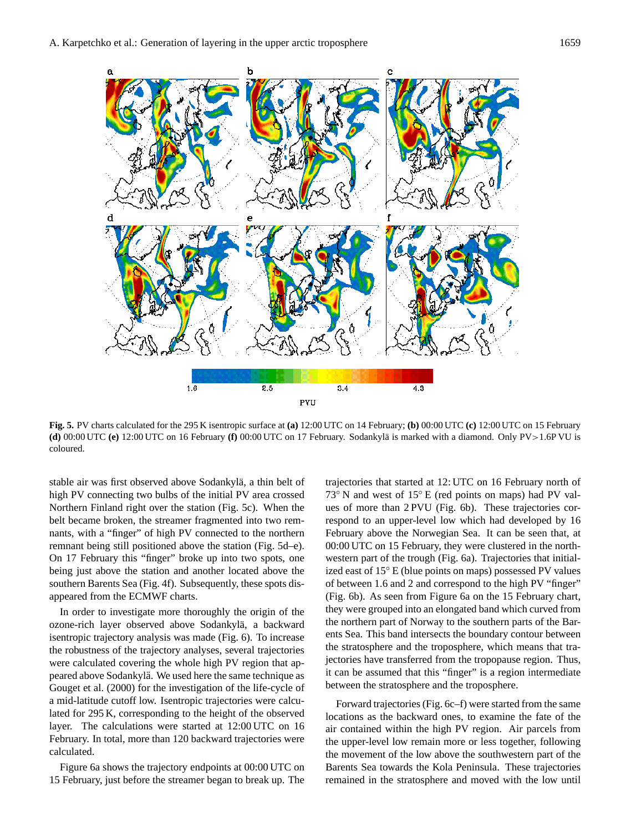я



PVU

 $2.5$ 

**Fig. 5.** PV charts calculated for the 295 K isentropic surface at **(a)** 12:00 UTC on 14 February; **(b)** 00:00 UTC **(c)** 12:00 UTC on 15 February **(d)** 00:00 UTC **(e)** 12:00 UTC on 16 February **(f)** 00:00 UTC on 17 February. Sodankyla is marked with a diamond. Only PV > 1.6P VU is coloured.

 $3.4$ 

stable air was first observed above Sodankylä, a thin belt of high PV connecting two bulbs of the initial PV area crossed Northern Finland right over the station (Fig. 5c). When the belt became broken, the streamer fragmented into two remnants, with a "finger" of high PV connected to the northern remnant being still positioned above the station (Fig. 5d–e). On 17 February this "finger" broke up into two spots, one being just above the station and another located above the southern Barents Sea (Fig. 4f). Subsequently, these spots disappeared from the ECMWF charts.

 $1.6$ 

In order to investigate more thoroughly the origin of the ozone-rich layer observed above Sodankylä, a backward isentropic trajectory analysis was made (Fig. 6). To increase the robustness of the trajectory analyses, several trajectories were calculated covering the whole high PV region that appeared above Sodankyla. We used here the same technique as ¨ Gouget et al. (2000) for the investigation of the life-cycle of a mid-latitude cutoff low. Isentropic trajectories were calculated for 295 K, corresponding to the height of the observed layer. The calculations were started at 12:00 UTC on 16 February. In total, more than 120 backward trajectories were calculated.

Figure 6a shows the trajectory endpoints at 00:00 UTC on 15 February, just before the streamer began to break up. The

trajectories that started at 12: UTC on 16 February north of 73◦ N and west of 15◦ E (red points on maps) had PV values of more than 2 PVU (Fig. 6b). These trajectories correspond to an upper-level low which had developed by 16 February above the Norwegian Sea. It can be seen that, at 00:00 UTC on 15 February, they were clustered in the northwestern part of the trough (Fig. 6a). Trajectories that initialized east of 15◦ E (blue points on maps) possessed PV values of between 1.6 and 2 and correspond to the high PV "finger" (Fig. 6b). As seen from Figure 6a on the 15 February chart, they were grouped into an elongated band which curved from the northern part of Norway to the southern parts of the Barents Sea. This band intersects the boundary contour between the stratosphere and the troposphere, which means that trajectories have transferred from the tropopause region. Thus, it can be assumed that this "finger" is a region intermediate between the stratosphere and the troposphere.

 $4.3$ 

Forward trajectories (Fig. 6c–f) were started from the same locations as the backward ones, to examine the fate of the air contained within the high PV region. Air parcels from the upper-level low remain more or less together, following the movement of the low above the southwestern part of the Barents Sea towards the Kola Peninsula. These trajectories remained in the stratosphere and moved with the low until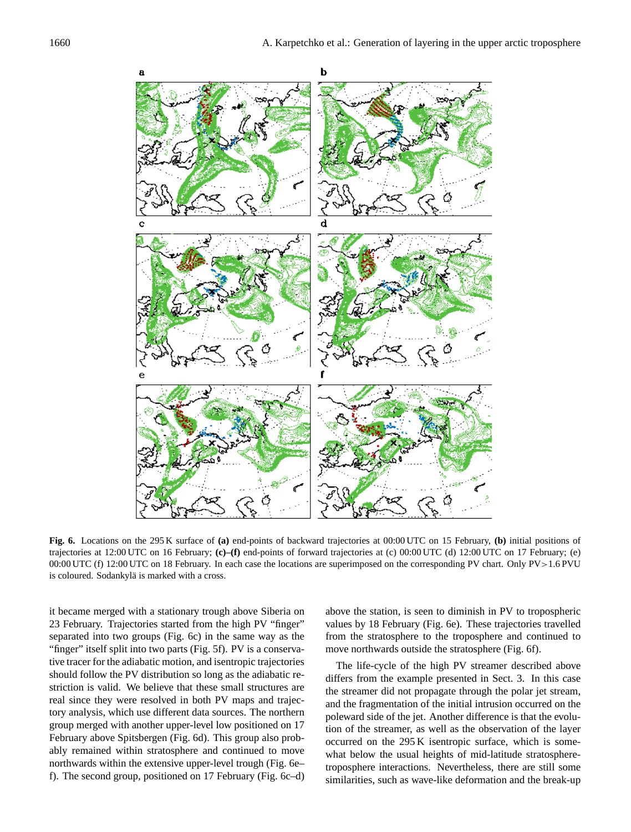

**Fig. 6.** Locations on the 295 K surface of **(a)** end-points of backward trajectories at 00:00 UTC on 15 February, **(b)** initial positions of trajectories at 12:00 UTC on 16 February; **(c)–(f)** end-points of forward trajectories at (c) 00:00 UTC (d) 12:00 UTC on 17 February; (e) 00:00 UTC (f) 12:00 UTC on 18 February. In each case the locations are superimposed on the corresponding PV chart. Only PV>1.6 PVU is coloured. Sodankylä is marked with a cross.

it became merged with a stationary trough above Siberia on 23 February. Trajectories started from the high PV "finger" separated into two groups (Fig. 6c) in the same way as the "finger" itself split into two parts (Fig. 5f). PV is a conservative tracer for the adiabatic motion, and isentropic trajectories should follow the PV distribution so long as the adiabatic restriction is valid. We believe that these small structures are real since they were resolved in both PV maps and trajectory analysis, which use different data sources. The northern group merged with another upper-level low positioned on 17 February above Spitsbergen (Fig. 6d). This group also probably remained within stratosphere and continued to move northwards within the extensive upper-level trough (Fig. 6e– f). The second group, positioned on 17 February (Fig. 6c–d) above the station, is seen to diminish in PV to tropospheric values by 18 February (Fig. 6e). These trajectories travelled from the stratosphere to the troposphere and continued to move northwards outside the stratosphere (Fig. 6f).

The life-cycle of the high PV streamer described above differs from the example presented in Sect. 3. In this case the streamer did not propagate through the polar jet stream, and the fragmentation of the initial intrusion occurred on the poleward side of the jet. Another difference is that the evolution of the streamer, as well as the observation of the layer occurred on the 295 K isentropic surface, which is somewhat below the usual heights of mid-latitude stratospheretroposphere interactions. Nevertheless, there are still some similarities, such as wave-like deformation and the break-up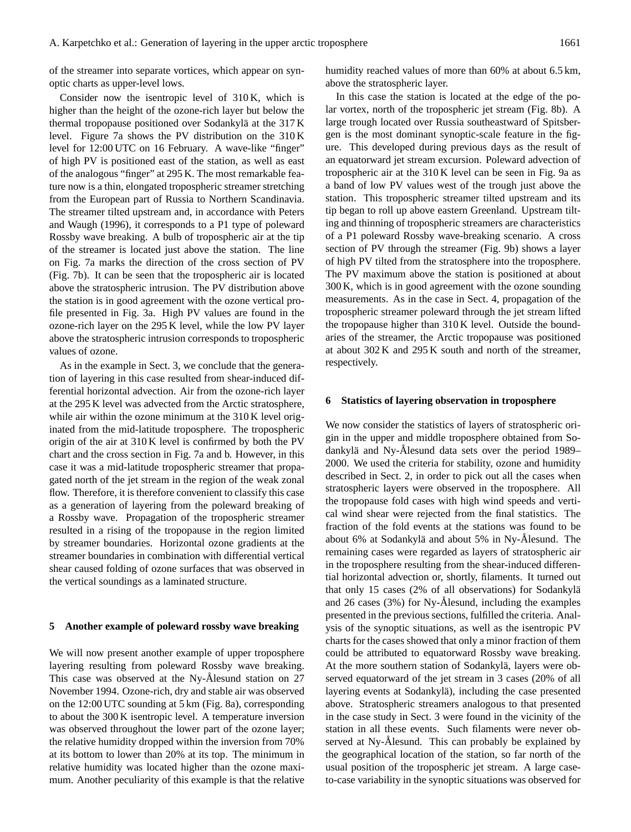of the streamer into separate vortices, which appear on synoptic charts as upper-level lows.

Consider now the isentropic level of 310 K, which is higher than the height of the ozone-rich layer but below the thermal tropopause positioned over Sodankylä at the 317 K level. Figure 7a shows the PV distribution on the 310 K level for 12:00 UTC on 16 February. A wave-like "finger" of high PV is positioned east of the station, as well as east of the analogous "finger" at 295 K. The most remarkable feature now is a thin, elongated tropospheric streamer stretching from the European part of Russia to Northern Scandinavia. The streamer tilted upstream and, in accordance with Peters and Waugh (1996), it corresponds to a P1 type of poleward Rossby wave breaking. A bulb of tropospheric air at the tip of the streamer is located just above the station. The line on Fig. 7a marks the direction of the cross section of PV (Fig. 7b). It can be seen that the tropospheric air is located above the stratospheric intrusion. The PV distribution above the station is in good agreement with the ozone vertical profile presented in Fig. 3a. High PV values are found in the ozone-rich layer on the 295 K level, while the low PV layer above the stratospheric intrusion corresponds to tropospheric values of ozone.

As in the example in Sect. 3, we conclude that the generation of layering in this case resulted from shear-induced differential horizontal advection. Air from the ozone-rich layer at the 295 K level was advected from the Arctic stratosphere, while air within the ozone minimum at the 310 K level originated from the mid-latitude troposphere. The tropospheric origin of the air at 310 K level is confirmed by both the PV chart and the cross section in Fig. 7a and b. However, in this case it was a mid-latitude tropospheric streamer that propagated north of the jet stream in the region of the weak zonal flow. Therefore, it is therefore convenient to classify this case as a generation of layering from the poleward breaking of a Rossby wave. Propagation of the tropospheric streamer resulted in a rising of the tropopause in the region limited by streamer boundaries. Horizontal ozone gradients at the streamer boundaries in combination with differential vertical shear caused folding of ozone surfaces that was observed in the vertical soundings as a laminated structure.

#### **5 Another example of poleward rossby wave breaking**

We will now present another example of upper troposphere layering resulting from poleward Rossby wave breaking. This case was observed at the Ny-Alesund station on 27 November 1994. Ozone-rich, dry and stable air was observed on the 12:00 UTC sounding at 5 km (Fig. 8a), corresponding to about the 300 K isentropic level. A temperature inversion was observed throughout the lower part of the ozone layer; the relative humidity dropped within the inversion from 70% at its bottom to lower than 20% at its top. The minimum in relative humidity was located higher than the ozone maximum. Another peculiarity of this example is that the relative humidity reached values of more than 60% at about 6.5 km, above the stratospheric layer.

In this case the station is located at the edge of the polar vortex, north of the tropospheric jet stream (Fig. 8b). A large trough located over Russia southeastward of Spitsbergen is the most dominant synoptic-scale feature in the figure. This developed during previous days as the result of an equatorward jet stream excursion. Poleward advection of tropospheric air at the 310 K level can be seen in Fig. 9a as a band of low PV values west of the trough just above the station. This tropospheric streamer tilted upstream and its tip began to roll up above eastern Greenland. Upstream tilting and thinning of tropospheric streamers are characteristics of a P1 poleward Rossby wave-breaking scenario. A cross section of PV through the streamer (Fig. 9b) shows a layer of high PV tilted from the stratosphere into the troposphere. The PV maximum above the station is positioned at about 300 K, which is in good agreement with the ozone sounding measurements. As in the case in Sect. 4, propagation of the tropospheric streamer poleward through the jet stream lifted the tropopause higher than 310 K level. Outside the boundaries of the streamer, the Arctic tropopause was positioned at about 302 K and 295 K south and north of the streamer, respectively.

### **6 Statistics of layering observation in troposphere**

We now consider the statistics of layers of stratospheric origin in the upper and middle troposphere obtained from Sodankylä and Ny-Ålesund data sets over the period 1989– 2000. We used the criteria for stability, ozone and humidity described in Sect. 2, in order to pick out all the cases when stratospheric layers were observed in the troposphere. All the tropopause fold cases with high wind speeds and vertical wind shear were rejected from the final statistics. The fraction of the fold events at the stations was found to be about 6% at Sodankylä and about 5% in Ny-Ålesund. The remaining cases were regarded as layers of stratospheric air in the troposphere resulting from the shear-induced differential horizontal advection or, shortly, filaments. It turned out that only 15 cases (2% of all observations) for Sodankyla¨ and 26 cases  $(3%)$  for Ny-Ålesund, including the examples presented in the previous sections, fulfilled the criteria. Analysis of the synoptic situations, as well as the isentropic PV charts for the cases showed that only a minor fraction of them could be attributed to equatorward Rossby wave breaking. At the more southern station of Sodankylä, layers were observed equatorward of the jet stream in 3 cases (20% of all layering events at Sodankylä), including the case presented above. Stratospheric streamers analogous to that presented in the case study in Sect. 3 were found in the vicinity of the station in all these events. Such filaments were never observed at Ny-Ålesund. This can probably be explained by the geographical location of the station, so far north of the usual position of the tropospheric jet stream. A large caseto-case variability in the synoptic situations was observed for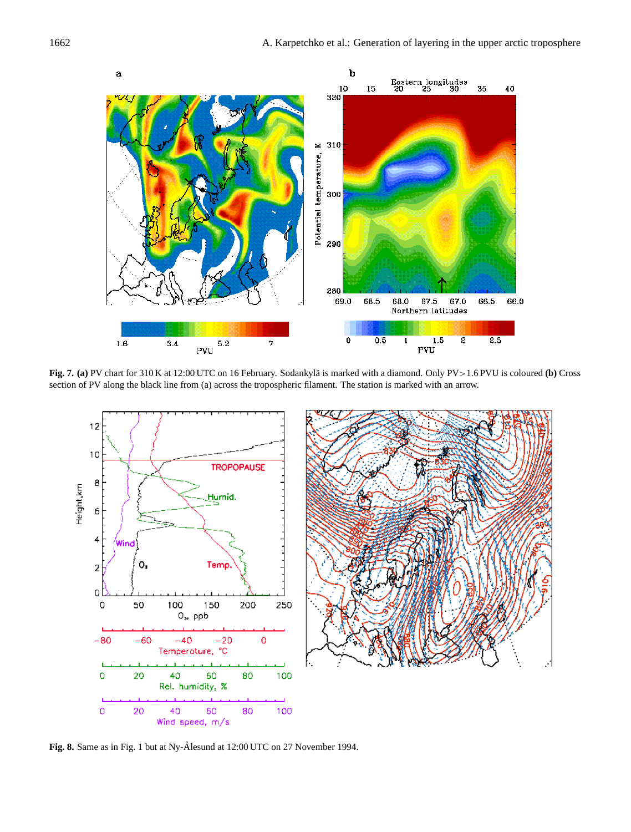

Fig. 7. (a) PV chart for 310 K at 12:00 UTC on 16 February. Sodankylä is marked with a diamond. Only PV > 1.6 PVU is coloured (b) Cross section of PV along the black line from (a) across the tropospheric filament. The station is marked with an arrow.



Fig. 8. Same as in Fig. 1 but at Ny-Ålesund at 12:00 UTC on 27 November 1994.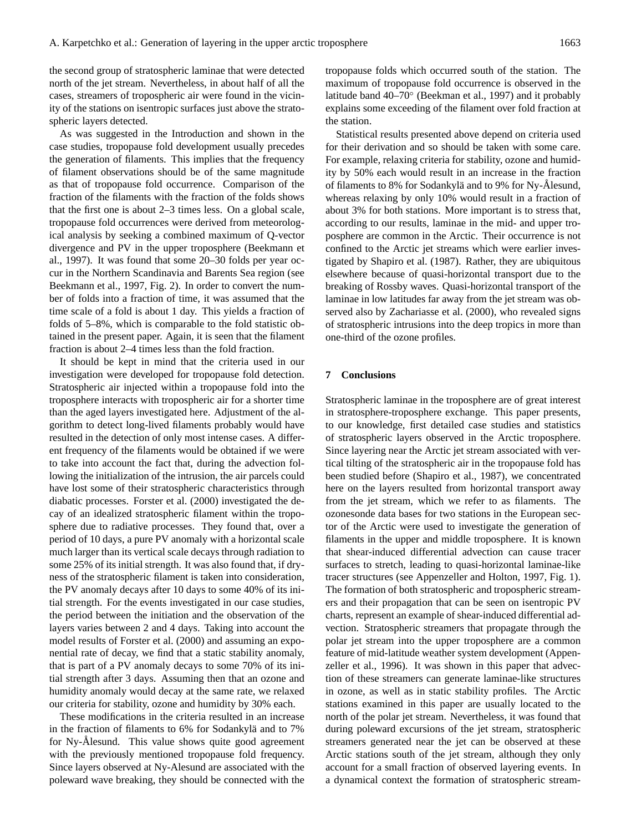the second group of stratospheric laminae that were detected north of the jet stream. Nevertheless, in about half of all the cases, streamers of tropospheric air were found in the vicinity of the stations on isentropic surfaces just above the stratospheric layers detected.

As was suggested in the Introduction and shown in the case studies, tropopause fold development usually precedes the generation of filaments. This implies that the frequency of filament observations should be of the same magnitude as that of tropopause fold occurrence. Comparison of the fraction of the filaments with the fraction of the folds shows that the first one is about 2–3 times less. On a global scale, tropopause fold occurrences were derived from meteorological analysis by seeking a combined maximum of Q-vector divergence and PV in the upper troposphere (Beekmann et al., 1997). It was found that some 20–30 folds per year occur in the Northern Scandinavia and Barents Sea region (see Beekmann et al., 1997, Fig. 2). In order to convert the number of folds into a fraction of time, it was assumed that the time scale of a fold is about 1 day. This yields a fraction of folds of 5–8%, which is comparable to the fold statistic obtained in the present paper. Again, it is seen that the filament fraction is about 2–4 times less than the fold fraction.

It should be kept in mind that the criteria used in our investigation were developed for tropopause fold detection. Stratospheric air injected within a tropopause fold into the troposphere interacts with tropospheric air for a shorter time than the aged layers investigated here. Adjustment of the algorithm to detect long-lived filaments probably would have resulted in the detection of only most intense cases. A different frequency of the filaments would be obtained if we were to take into account the fact that, during the advection following the initialization of the intrusion, the air parcels could have lost some of their stratospheric characteristics through diabatic processes. Forster et al. (2000) investigated the decay of an idealized stratospheric filament within the troposphere due to radiative processes. They found that, over a period of 10 days, a pure PV anomaly with a horizontal scale much larger than its vertical scale decays through radiation to some 25% of its initial strength. It was also found that, if dryness of the stratospheric filament is taken into consideration, the PV anomaly decays after 10 days to some 40% of its initial strength. For the events investigated in our case studies, the period between the initiation and the observation of the layers varies between 2 and 4 days. Taking into account the model results of Forster et al. (2000) and assuming an exponential rate of decay, we find that a static stability anomaly, that is part of a PV anomaly decays to some 70% of its initial strength after 3 days. Assuming then that an ozone and humidity anomaly would decay at the same rate, we relaxed our criteria for stability, ozone and humidity by 30% each.

These modifications in the criteria resulted in an increase in the fraction of filaments to  $6\%$  for Sodankylä and to  $7\%$ for Ny-Ålesund. This value shows quite good agreement with the previously mentioned tropopause fold frequency. Since layers observed at Ny-Alesund are associated with the poleward wave breaking, they should be connected with the tropopause folds which occurred south of the station. The maximum of tropopause fold occurrence is observed in the latitude band 40–70◦ (Beekman et al., 1997) and it probably explains some exceeding of the filament over fold fraction at the station.

Statistical results presented above depend on criteria used for their derivation and so should be taken with some care. For example, relaxing criteria for stability, ozone and humidity by 50% each would result in an increase in the fraction of filaments to 8% for Sodankylä and to 9% for Ny-Ålesund, whereas relaxing by only 10% would result in a fraction of about 3% for both stations. More important is to stress that, according to our results, laminae in the mid- and upper troposphere are common in the Arctic. Their occurrence is not confined to the Arctic jet streams which were earlier investigated by Shapiro et al. (1987). Rather, they are ubiquitous elsewhere because of quasi-horizontal transport due to the breaking of Rossby waves. Quasi-horizontal transport of the laminae in low latitudes far away from the jet stream was observed also by Zachariasse et al. (2000), who revealed signs of stratospheric intrusions into the deep tropics in more than one-third of the ozone profiles.

## **7 Conclusions**

Stratospheric laminae in the troposphere are of great interest in stratosphere-troposphere exchange. This paper presents, to our knowledge, first detailed case studies and statistics of stratospheric layers observed in the Arctic troposphere. Since layering near the Arctic jet stream associated with vertical tilting of the stratospheric air in the tropopause fold has been studied before (Shapiro et al., 1987), we concentrated here on the layers resulted from horizontal transport away from the jet stream, which we refer to as filaments. The ozonesonde data bases for two stations in the European sector of the Arctic were used to investigate the generation of filaments in the upper and middle troposphere. It is known that shear-induced differential advection can cause tracer surfaces to stretch, leading to quasi-horizontal laminae-like tracer structures (see Appenzeller and Holton, 1997, Fig. 1). The formation of both stratospheric and tropospheric streamers and their propagation that can be seen on isentropic PV charts, represent an example of shear-induced differential advection. Stratospheric streamers that propagate through the polar jet stream into the upper troposphere are a common feature of mid-latitude weather system development (Appenzeller et al., 1996). It was shown in this paper that advection of these streamers can generate laminae-like structures in ozone, as well as in static stability profiles. The Arctic stations examined in this paper are usually located to the north of the polar jet stream. Nevertheless, it was found that during poleward excursions of the jet stream, stratospheric streamers generated near the jet can be observed at these Arctic stations south of the jet stream, although they only account for a small fraction of observed layering events. In a dynamical context the formation of stratospheric stream-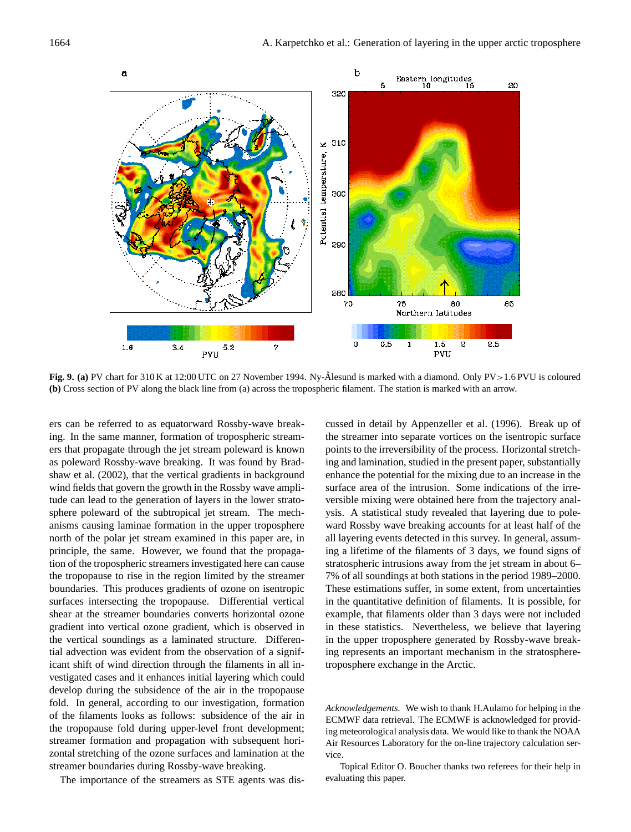

**Fig. 9. (a)** PV chart for 310 K at 12:00 UTC on 27 November 1994. Ny-Ålesund is marked with a diamond. Only PV > 1.6 PVU is coloured **(b)** Cross section of PV along the black line from (a) across the tropospheric filament. The station is marked with an arrow.

ers can be referred to as equatorward Rossby-wave breaking. In the same manner, formation of tropospheric streamers that propagate through the jet stream poleward is known as poleward Rossby-wave breaking. It was found by Bradshaw et al. (2002), that the vertical gradients in background wind fields that govern the growth in the Rossby wave amplitude can lead to the generation of layers in the lower stratosphere poleward of the subtropical jet stream. The mechanisms causing laminae formation in the upper troposphere north of the polar jet stream examined in this paper are, in principle, the same. However, we found that the propagation of the tropospheric streamers investigated here can cause the tropopause to rise in the region limited by the streamer boundaries. This produces gradients of ozone on isentropic surfaces intersecting the tropopause. Differential vertical shear at the streamer boundaries converts horizontal ozone gradient into vertical ozone gradient, which is observed in the vertical soundings as a laminated structure. Differential advection was evident from the observation of a significant shift of wind direction through the filaments in all investigated cases and it enhances initial layering which could develop during the subsidence of the air in the tropopause fold. In general, according to our investigation, formation of the filaments looks as follows: subsidence of the air in the tropopause fold during upper-level front development; streamer formation and propagation with subsequent horizontal stretching of the ozone surfaces and lamination at the streamer boundaries during Rossby-wave breaking.

The importance of the streamers as STE agents was dis-

cussed in detail by Appenzeller et al. (1996). Break up of the streamer into separate vortices on the isentropic surface points to the irreversibility of the process. Horizontal stretching and lamination, studied in the present paper, substantially enhance the potential for the mixing due to an increase in the surface area of the intrusion. Some indications of the irreversible mixing were obtained here from the trajectory analysis. A statistical study revealed that layering due to poleward Rossby wave breaking accounts for at least half of the all layering events detected in this survey. In general, assuming a lifetime of the filaments of 3 days, we found signs of stratospheric intrusions away from the jet stream in about 6– 7% of all soundings at both stations in the period 1989–2000. These estimations suffer, in some extent, from uncertainties in the quantitative definition of filaments. It is possible, for example, that filaments older than 3 days were not included in these statistics. Nevertheless, we believe that layering in the upper troposphere generated by Rossby-wave breaking represents an important mechanism in the stratospheretroposphere exchange in the Arctic.

*Acknowledgements.* We wish to thank H.Aulamo for helping in the ECMWF data retrieval. The ECMWF is acknowledged for providing meteorological analysis data. We would like to thank the NOAA Air Resources Laboratory for the on-line trajectory calculation service.

Topical Editor O. Boucher thanks two referees for their help in evaluating this paper.